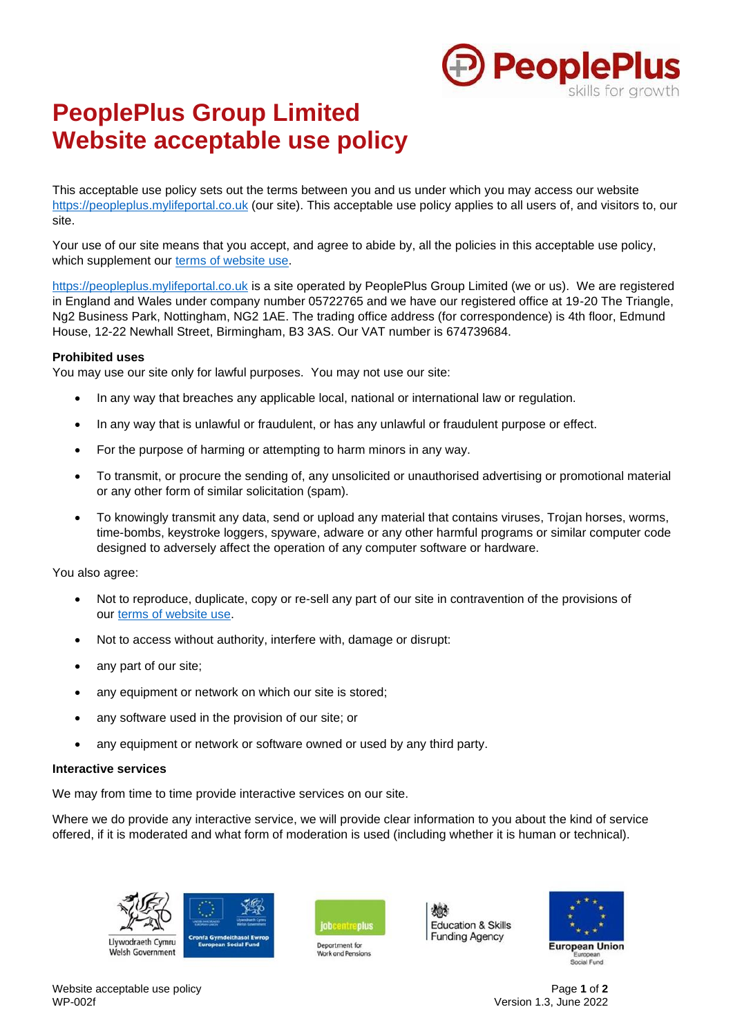

# **PeoplePlus Group Limited Website acceptable use policy**

This acceptable use policy sets out the terms between you and us under which you may access our website https://peopleplus.mylifeportal.co.uk (our site). This acceptable use policy applies to all users of, and visitors to, our site.

Your use of our site means that you accept, and agree to abide by, all the policies in this acceptable use policy, which supplement our terms of website use.

https://peopleplus.mylifeportal.co.uk is a site operated by PeoplePlus Group Limited (we or us). We are registered in England and Wales under company number 05722765 and we have our registered office at 19-20 The Triangle, Ng2 Business Park, Nottingham, NG2 1AE. The trading office address (for correspondence) is 4th floor, Edmund House, 12-22 Newhall Street, Birmingham, B3 3AS. Our VAT number is 674739684.

## **Prohibited uses**

You may use our site only for lawful purposes. You may not use our site:

- In any way that breaches any applicable local, national or international law or regulation.
- In any way that is unlawful or fraudulent, or has any unlawful or fraudulent purpose or effect.
- For the purpose of harming or attempting to harm minors in any way.
- To transmit, or procure the sending of, any unsolicited or unauthorised advertising or promotional material or any other form of similar solicitation (spam).
- To knowingly transmit any data, send or upload any material that contains viruses, Trojan horses, worms, time-bombs, keystroke loggers, spyware, adware or any other harmful programs or similar computer code designed to adversely affect the operation of any computer software or hardware.

You also agree:

- Not to reproduce, duplicate, copy or re-sell any part of our site in contravention of the provisions of our terms of website use.
- Not to access without authority, interfere with, damage or disrupt:
- any part of our site;
- any equipment or network on which our site is stored;
- any software used in the provision of our site; or
- any equipment or network or software owned or used by any third party.

## **Interactive services**

We may from time to time provide interactive services on our site.

Where we do provide any interactive service, we will provide clear information to you about the kind of service offered, if it is moderated and what form of moderation is used (including whether it is human or technical).





Department for





Version 1.3, June 2022